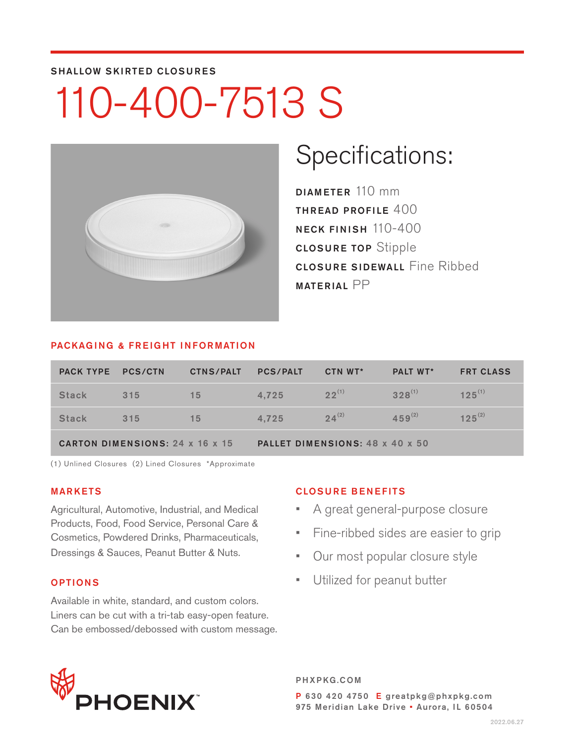#### SHALLOW SKIRTED CLOSURES

## 110-400-7513 S



### Specifications:

DIAMETER 110 mm THREAD PROFILE 400 NECK FINISH 110-400 CLOSURE TOP Stipple **CLOSURE SIDEWALL Fine Ribbed** MATERIAL PP

#### PACKAGING & FREIGHT INFORMATION

| PACK TYPE PCS/CTN                      |     | <b>CTNS/PALT</b> | <b>PCS/PALT</b>                 | CTN WT*    | <b>PALT WT*</b> | <b>FRT CLASS</b> |  |
|----------------------------------------|-----|------------------|---------------------------------|------------|-----------------|------------------|--|
| <b>Stack</b>                           | 315 | 15               | 4.725                           | $22^{(1)}$ | $328^{(1)}$     | $125^{(1)}$      |  |
| <b>Stack</b>                           | 315 | 15               | 4.725                           | $24^{(2)}$ | $459^{(2)}$     | $125^{(2)}$      |  |
| <b>CARTON DIMENSIONS: 24 x 16 x 15</b> |     |                  | PALLET DIMENSIONS: 48 x 40 x 50 |            |                 |                  |  |

(1) Unlined Closures (2) Lined Closures \*Approximate

#### MARKETS

Agricultural, Automotive, Industrial, and Medical Products, Food, Food Service, Personal Care & Cosmetics, Powdered Drinks, Pharmaceuticals, Dressings & Sauces, Peanut Butter & Nuts.

#### OPTIONS

Available in white, standard, and custom colors. Liners can be cut with a tri-tab easy-open feature. Can be embossed/debossed with custom message.

#### CLOSURE BENEFITS

- A great general-purpose closure
- Fine-ribbed sides are easier to grip
- Our most popular closure style
- Utilized for peanut butter



PHXPKG.COM P 630 420 4750 E greatpkg@phxpkg.com 975 Meridian Lake Drive · Aurora, IL 60504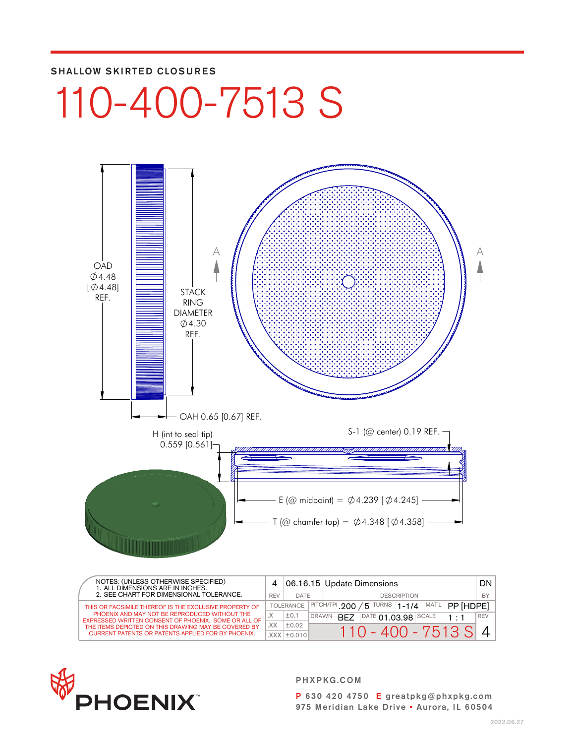#### SHALLOW SKIRTED CLOSURES

# 110-400-7513 S



| NOTES: (UNLESS OTHERWISE SPECIFIED)<br>1. ALL DIMENSIONS ARE IN INCHES.<br>2. SEE CHART FOR DIMENSIONAL TOLERANCE. |     |                   |                    | 06.16.15 Update Dimensions                                                          |     |
|--------------------------------------------------------------------------------------------------------------------|-----|-------------------|--------------------|-------------------------------------------------------------------------------------|-----|
|                                                                                                                    |     | DATE              | <b>DESCRIPTION</b> |                                                                                     |     |
| THIS OR FACSIMILE THEREOF IS THE EXCLUSIVE PROPERTY OF                                                             |     | <b>TOLERANCE</b>  |                    | <b>TURNS</b><br>MAT'L<br>$ $ PITCH/TPI 200<br>$1 - 1/4$<br>PP [HDPF]<br>$5^{\circ}$ |     |
| PHOENIX AND MAY NOT BE REPRODUCED WITHOUT THE<br>EXPRESSED WRITTEN CONSENT OF PHOENIX. SOME OR ALL OF              | . X | ±0.1              | <b>DRAWN</b>       | $ $ DATE 01.03.98 SCALE<br>RF7                                                      | REV |
| THE ITEMS DEPICTED ON THIS DRAWING MAY BE COVERED BY                                                               | XX. | ±0.02             |                    | $110 - 400 - 7513$ SI                                                               |     |
| <b>CURRENT PATENTS OR PATENTS APPLIED FOR BY PHOENIX.</b>                                                          |     | $XXX$ $\pm$ 0.010 |                    |                                                                                     |     |



PHXPKG.COM P 630 420 4750 E greatpkg@phxpkg.com 975 Meridian Lake Drive • Aurora, IL 60504